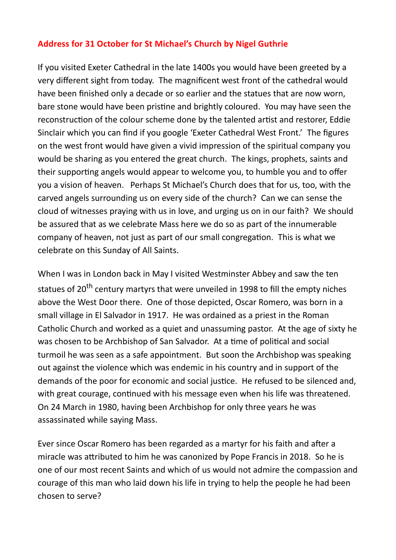## **Address for 31 October for St Michael's Church by Nigel Guthrie**

If you visited Exeter Cathedral in the late 1400s you would have been greeted by a very different sight from today. The magnificent west front of the cathedral would have been finished only a decade or so earlier and the statues that are now worn, bare stone would have been pristine and brightly coloured. You may have seen the reconstruction of the colour scheme done by the talented artist and restorer, Eddie Sinclair which you can find if you google 'Exeter Cathedral West Front.' The figures on the west front would have given a vivid impression of the spiritual company you would be sharing as you entered the great church. The kings, prophets, saints and their supporting angels would appear to welcome you, to humble you and to offer you a vision of heaven. Perhaps St Michael's Church does that for us, too, with the carved angels surrounding us on every side of the church? Can we can sense the cloud of witnesses praying with us in love, and urging us on in our faith? We should be assured that as we celebrate Mass here we do so as part of the innumerable company of heaven, not just as part of our small congregation. This is what we celebrate on this Sunday of All Saints.

When I was in London back in May I visited Westminster Abbey and saw the ten statues of 20<sup>th</sup> century martyrs that were unveiled in 1998 to fill the empty niches above the West Door there. One of those depicted, Oscar Romero, was born in a small village in El Salvador in 1917. He was ordained as a priest in the Roman Catholic Church and worked as a quiet and unassuming pastor. At the age of sixty he was chosen to be Archbishop of San Salvador. At a time of political and social turmoil he was seen as a safe appointment. But soon the Archbishop was speaking out against the violence which was endemic in his country and in support of the demands of the poor for economic and social justice. He refused to be silenced and, with great courage, continued with his message even when his life was threatened. On 24 March in 1980, having been Archbishop for only three years he was assassinated while saying Mass.

Ever since Oscar Romero has been regarded as a martyr for his faith and after a miracle was attributed to him he was canonized by Pope Francis in 2018. So he is one of our most recent Saints and which of us would not admire the compassion and courage of this man who laid down his life in trying to help the people he had been chosen to serve?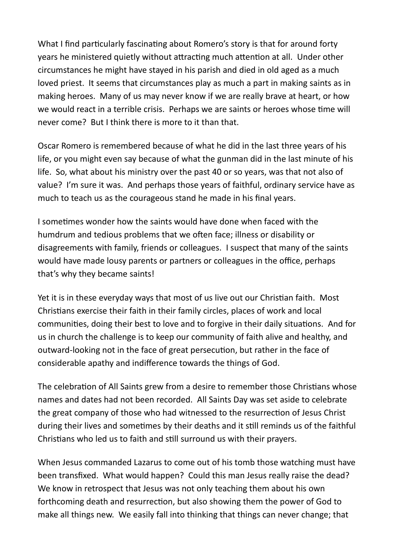What I find particularly fascinating about Romero's story is that for around forty years he ministered quietly without attracting much attention at all. Under other circumstances he might have stayed in his parish and died in old aged as a much loved priest. It seems that circumstances play as much a part in making saints as in making heroes. Many of us may never know if we are really brave at heart, or how we would react in a terrible crisis. Perhaps we are saints or heroes whose time will never come? But I think there is more to it than that.

Oscar Romero is remembered because of what he did in the last three years of his life, or you might even say because of what the gunman did in the last minute of his life. So, what about his ministry over the past 40 or so years, was that not also of value? I'm sure it was. And perhaps those years of faithful, ordinary service have as much to teach us as the courageous stand he made in his final years.

I sometimes wonder how the saints would have done when faced with the humdrum and tedious problems that we often face; illness or disability or disagreements with family, friends or colleagues. I suspect that many of the saints would have made lousy parents or partners or colleagues in the office, perhaps that's why they became saints!

Yet it is in these everyday ways that most of us live out our Christian faith. Most Christians exercise their faith in their family circles, places of work and local communities, doing their best to love and to forgive in their daily situations. And for us in church the challenge is to keep our community of faith alive and healthy, and outward-looking not in the face of great persecution, but rather in the face of considerable apathy and indifference towards the things of God.

The celebration of All Saints grew from a desire to remember those Christians whose names and dates had not been recorded. All Saints Day was set aside to celebrate the great company of those who had witnessed to the resurrection of Jesus Christ during their lives and sometimes by their deaths and it still reminds us of the faithful Christians who led us to faith and still surround us with their prayers.

When Jesus commanded Lazarus to come out of his tomb those watching must have been transfixed. What would happen? Could this man Jesus really raise the dead? We know in retrospect that Jesus was not only teaching them about his own forthcoming death and resurrection, but also showing them the power of God to make all things new. We easily fall into thinking that things can never change; that